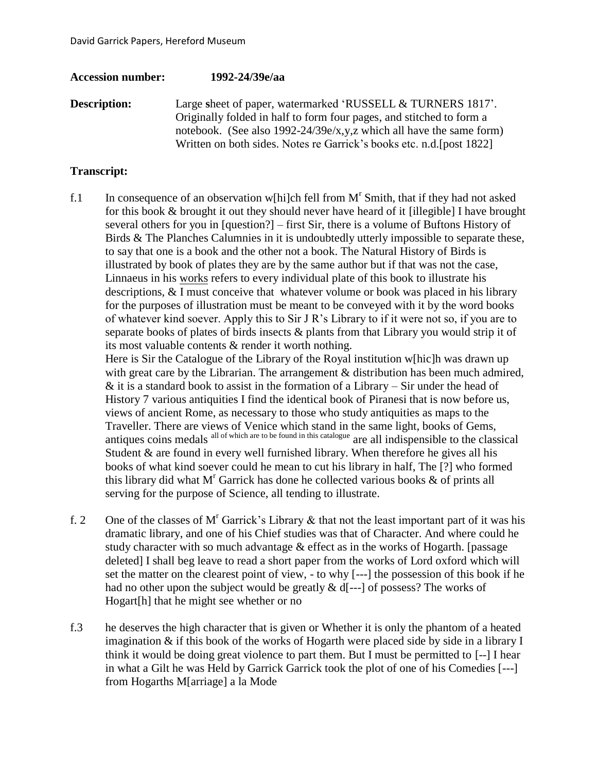## **Accession number: 1992-24/39e/aa**

**Description:** Large sheet of paper, watermarked 'RUSSELL & TURNERS 1817'. Originally folded in half to form four pages, and stitched to form a notebook. (See also 1992-24/39e/x,y,z which all have the same form) Written on both sides. Notes re Garrick's books etc. n.d.[post 1822]

## **Transcript:**

f.1 In consequence of an observation w[hi]ch fell from  $M<sup>r</sup>$  Smith, that if they had not asked for this book & brought it out they should never have heard of it [illegible] I have brought several others for you in [question?] – first Sir, there is a volume of Buftons History of Birds & The Planches Calumnies in it is undoubtedly utterly impossible to separate these, to say that one is a book and the other not a book. The Natural History of Birds is illustrated by book of plates they are by the same author but if that was not the case, Linnaeus in his works refers to every individual plate of this book to illustrate his descriptions, & I must conceive that whatever volume or book was placed in his library for the purposes of illustration must be meant to be conveyed with it by the word books of whatever kind soever. Apply this to Sir J R's Library to if it were not so, if you are to separate books of plates of birds insects & plants from that Library you would strip it of its most valuable contents & render it worth nothing.

Here is Sir the Catalogue of the Library of the Royal institution w[hic]h was drawn up with great care by the Librarian. The arrangement  $\&$  distribution has been much admired,  $&$  it is a standard book to assist in the formation of a Library – Sir under the head of History 7 various antiquities I find the identical book of Piranesi that is now before us, views of ancient Rome, as necessary to those who study antiquities as maps to the Traveller. There are views of Venice which stand in the same light, books of Gems, antiques coins medals all of which are to be found in this catalogue are all indispensible to the classical Student & are found in every well furnished library. When therefore he gives all his books of what kind soever could he mean to cut his library in half, The [?] who formed this library did what  $M<sup>r</sup>$  Garrick has done he collected various books  $\&$  of prints all serving for the purpose of Science, all tending to illustrate.

- f. 2 One of the classes of M<sup>r</sup> Garrick's Library  $\&$  that not the least important part of it was his dramatic library, and one of his Chief studies was that of Character. And where could he study character with so much advantage  $\&$  effect as in the works of Hogarth. [passage deleted] I shall beg leave to read a short paper from the works of Lord oxford which will set the matter on the clearest point of view, - to why [---] the possession of this book if he had no other upon the subject would be greatly  $\&$  d[---] of possess? The works of Hogart[h] that he might see whether or no
- f.3 he deserves the high character that is given or Whether it is only the phantom of a heated imagination & if this book of the works of Hogarth were placed side by side in a library I think it would be doing great violence to part them. But I must be permitted to [--] I hear in what a Gilt he was Held by Garrick Garrick took the plot of one of his Comedies [---] from Hogarths M[arriage] a la Mode